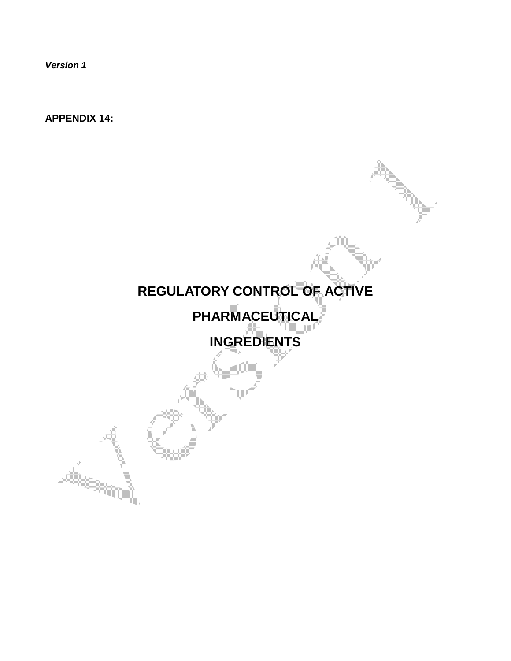*Version 1* 

**APPENDIX 14:** 

# **REGULATORY CONTROL OF ACTIVE PHARMACEUTICAL**

**INGREDIENTS**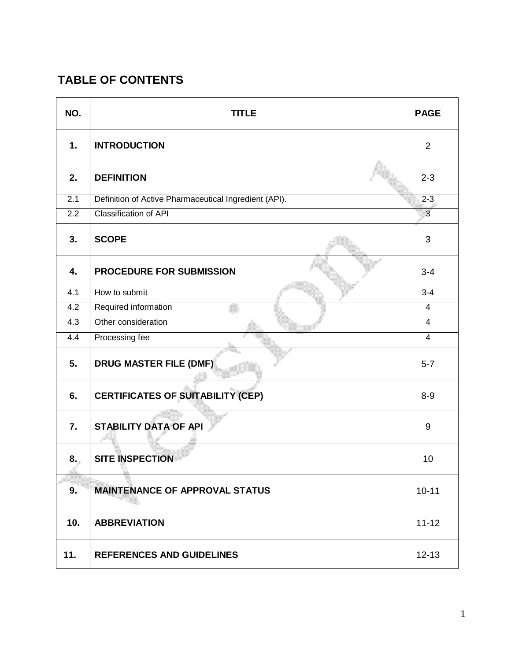## **TABLE OF CONTENTS**

| NO.              | <b>TITLE</b>                                          | <b>PAGE</b>    |
|------------------|-------------------------------------------------------|----------------|
| 1.               | <b>INTRODUCTION</b>                                   | $\overline{2}$ |
| 2.               | <b>DEFINITION</b>                                     | $2 - 3$        |
| $\overline{2.1}$ | Definition of Active Pharmaceutical Ingredient (API). | $2 - 3$        |
| $\overline{2.2}$ | <b>Classification of API</b>                          | $\overline{3}$ |
| 3.               | <b>SCOPE</b>                                          | 3              |
| 4.               | PROCEDURE FOR SUBMISSION                              | $3 - 4$        |
| 4.1              | How to submit                                         | $3-4$          |
| $\overline{4.2}$ | Required information                                  | $\overline{4}$ |
| 4.3              | Other consideration                                   | $\overline{4}$ |
| 4.4              | Processing fee                                        | $\overline{4}$ |
| 5.               | <b>DRUG MASTER FILE (DMF)</b>                         | $5 - 7$        |
| 6.               | <b>CERTIFICATES OF SUITABILITY (CEP)</b>              | $8-9$          |
| 7.               | <b>STABILITY DATA OF API</b>                          | 9              |
| 8.               | <b>SITE INSPECTION</b>                                | 10             |
| 9.               | <b>MAINTENANCE OF APPROVAL STATUS</b>                 | $10 - 11$      |
| 10.              | <b>ABBREVIATION</b>                                   | $11 - 12$      |
| 11.              | <b>REFERENCES AND GUIDELINES</b>                      | $12 - 13$      |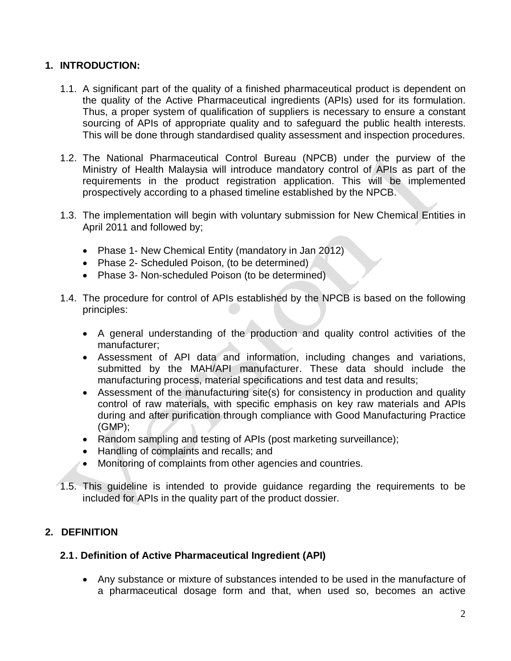## **1. INTRODUCTION:**

- 1.1. A significant part of the quality of a finished pharmaceutical product is dependent on the quality of the Active Pharmaceutical ingredients (APIs) used for its formulation. Thus, a proper system of qualification of suppliers is necessary to ensure a constant sourcing of APIs of appropriate quality and to safeguard the public health interests. This will be done through standardised quality assessment and inspection procedures.
- 1.2. The National Pharmaceutical Control Bureau (NPCB) under the purview of the Ministry of Health Malaysia will introduce mandatory control of APIs as part of the requirements in the product registration application. This will be implemented prospectively according to a phased timeline established by the NPCB.
- 1.3. The implementation will begin with voluntary submission for New Chemical Entities in April 2011 and followed by;
	- Phase 1- New Chemical Entity (mandatory in Jan 2012)
	- Phase 2- Scheduled Poison, (to be determined)
	- Phase 3- Non-scheduled Poison (to be determined)
- 1.4. The procedure for control of APIs established by the NPCB is based on the following principles:
	- A general understanding of the production and quality control activities of the manufacturer;
	- Assessment of API data and information, including changes and variations, submitted by the MAH/API manufacturer. These data should include the manufacturing process, material specifications and test data and results;
	- Assessment of the manufacturing site(s) for consistency in production and quality control of raw materials, with specific emphasis on key raw materials and APIs during and after purification through compliance with Good Manufacturing Practice (GMP);
	- Random sampling and testing of APIs (post marketing surveillance);
	- Handling of complaints and recalls: and
	- Monitoring of complaints from other agencies and countries.
- 1.5. This guideline is intended to provide guidance regarding the requirements to be included for APIs in the quality part of the product dossier.

## **2. DEFINITION**

#### **2.1. Definition of Active Pharmaceutical Ingredient (API)**

 Any substance or mixture of substances intended to be used in the manufacture of a pharmaceutical dosage form and that, when used so, becomes an active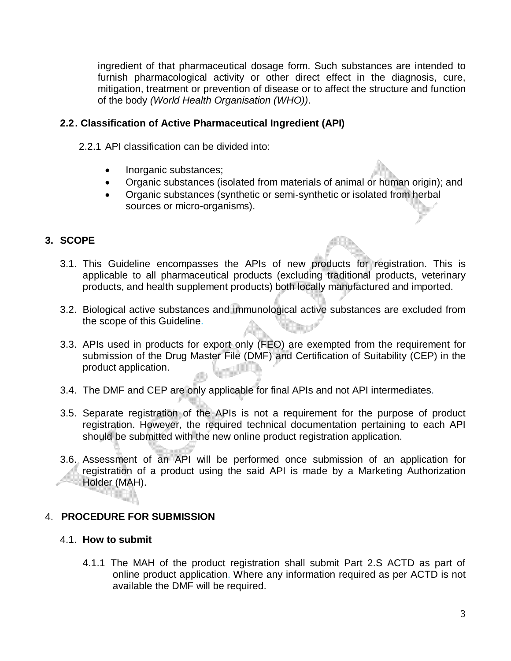ingredient of that pharmaceutical dosage form. Such substances are intended to furnish pharmacological activity or other direct effect in the diagnosis, cure, mitigation, treatment or prevention of disease or to affect the structure and function of the body *(World Health Organisation (WHO))*.

## **2.2. Classification of Active Pharmaceutical Ingredient (API)**

2.2.1 API classification can be divided into:

- Inorganic substances;
- Organic substances (isolated from materials of animal or human origin); and
- Organic substances (synthetic or semi-synthetic or isolated from herbal sources or micro-organisms).

## **3. SCOPE**

- 3.1. This Guideline encompasses the APIs of new products for registration. This is applicable to all pharmaceutical products (excluding traditional products, veterinary products, and health supplement products) both locally manufactured and imported.
- 3.2. Biological active substances and immunological active substances are excluded from the scope of this Guideline.
- 3.3. APIs used in products for export only (FEO) are exempted from the requirement for submission of the Drug Master File (DMF) and Certification of Suitability (CEP) in the product application.
- 3.4. The DMF and CEP are only applicable for final APIs and not API intermediates.
- 3.5. Separate registration of the APIs is not a requirement for the purpose of product registration. However, the required technical documentation pertaining to each API should be submitted with the new online product registration application.
- 3.6. Assessment of an API will be performed once submission of an application for registration of a product using the said API is made by a Marketing Authorization Holder (MAH).

## 4. **PROCEDURE FOR SUBMISSION**

#### 4.1. **How to submit**

4.1.1 The MAH of the product registration shall submit Part 2.S ACTD as part of online product application. Where any information required as per ACTD is not available the DMF will be required.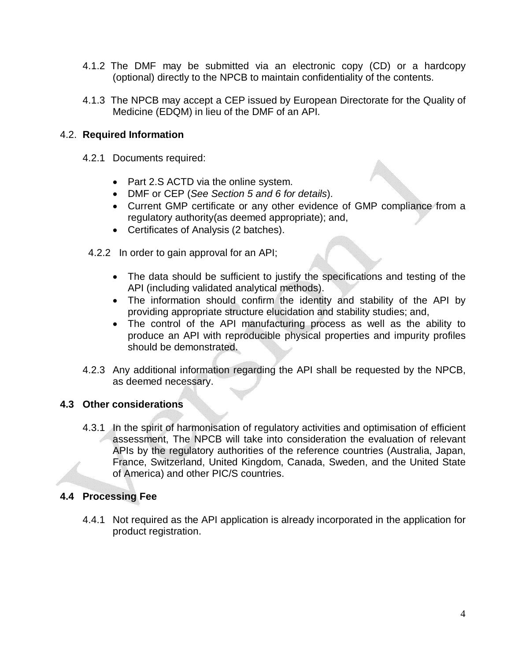- 4.1.2 The DMF may be submitted via an electronic copy (CD) or a hardcopy (optional) directly to the NPCB to maintain confidentiality of the contents.
- 4.1.3 The NPCB may accept a CEP issued by European Directorate for the Quality of Medicine (EDQM) in lieu of the DMF of an API.

#### 4.2. **Required Information**

- 4.2.1 Documents required:
	- Part 2.S ACTD via the online system.
	- DMF or CEP (*See Section 5 and 6 for details*).
	- Current GMP certificate or any other evidence of GMP compliance from a regulatory authority(as deemed appropriate); and,
	- Certificates of Analysis (2 batches).
	- 4.2.2 In order to gain approval for an API;
		- The data should be sufficient to justify the specifications and testing of the API (including validated analytical methods).
		- The information should confirm the identity and stability of the API by providing appropriate structure elucidation and stability studies; and,
		- The control of the API manufacturing process as well as the ability to produce an API with reproducible physical properties and impurity profiles should be demonstrated.
- 4.2.3 Any additional information regarding the API shall be requested by the NPCB, as deemed necessary.

## **4.3 Other considerations**

4.3.1 In the spirit of harmonisation of regulatory activities and optimisation of efficient assessment, The NPCB will take into consideration the evaluation of relevant APIs by the regulatory authorities of the reference countries (Australia, Japan, France, Switzerland, United Kingdom, Canada, Sweden, and the United State of America) and other PIC/S countries.

## **4.4 Processing Fee**

4.4.1 Not required as the API application is already incorporated in the application for product registration.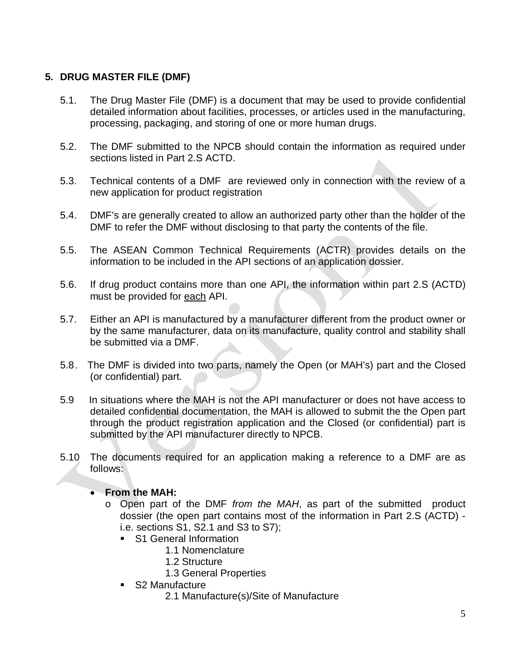## **5. DRUG MASTER FILE (DMF)**

- 5.1. The Drug Master File (DMF) is a document that may be used to provide confidential detailed information about facilities, processes, or articles used in the manufacturing, processing, packaging, and storing of one or more human drugs.
- 5.2. The DMF submitted to the NPCB should contain the information as required under sections listed in Part 2.S ACTD.
- 5.3. Technical contents of a DMF are reviewed only in connection with the review of a new application for product registration
- 5.4. DMF's are generally created to allow an authorized party other than the holder of the DMF to refer the DMF without disclosing to that party the contents of the file.
- 5.5. The ASEAN Common Technical Requirements (ACTR) provides details on the information to be included in the API sections of an application dossier.
- 5.6. If drug product contains more than one API, the information within part 2.S (ACTD) must be provided for each API.
- 5.7. Either an API is manufactured by a manufacturer different from the product owner or by the same manufacturer, data on its manufacture, quality control and stability shall be submitted via a DMF.
- 5.8. The DMF is divided into two parts, namely the Open (or MAH's) part and the Closed (or confidential) part.
- 5.9 In situations where the MAH is not the API manufacturer or does not have access to detailed confidential documentation, the MAH is allowed to submit the the Open part through the product registration application and the Closed (or confidential) part is submitted by the API manufacturer directly to NPCB.
- 5.10 The documents required for an application making a reference to a DMF are as follows:

## **From the MAH:**

- o Open part of the DMF *from the MAH*, as part of the submitted product dossier (the open part contains most of the information in Part 2.S (ACTD) i.e. sections S1, S2.1 and S3 to S7);
	- S1 General Information
		- 1.1 Nomenclature
		- 1.2 Structure
		- 1.3 General Properties
	- S2 Manufacture
		- 2.1 Manufacture(s)/Site of Manufacture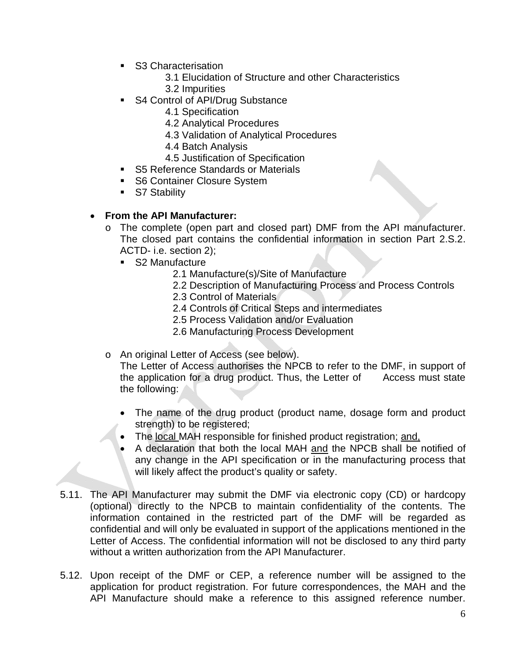- S3 Characterisation
	- 3.1 Elucidation of Structure and other Characteristics
	- 3.2 Impurities
- S4 Control of API/Drug Substance
	- 4.1 Specification
	- 4.2 Analytical Procedures
	- 4.3 Validation of Analytical Procedures
	- 4.4 Batch Analysis
	- 4.5 Justification of Specification
- S5 Reference Standards or Materials
- **S6 Container Closure System**
- S7 Stability

## **From the API Manufacturer:**

- o The complete (open part and closed part) DMF from the API manufacturer. The closed part contains the confidential information in section Part 2.S.2. ACTD- i.e. section 2);
	- S2 Manufacture
		- 2.1 Manufacture(s)/Site of Manufacture
			- 2.2 Description of Manufacturing Process and Process Controls
			- 2.3 Control of Materials
			- 2.4 Controls of Critical Steps and intermediates
			- 2.5 Process Validation and/or Evaluation
			- 2.6 Manufacturing Process Development
- o An original Letter of Access (see below).

The Letter of Access authorises the NPCB to refer to the DMF, in support of the application for a drug product. Thus, the Letter of Access must state the following:

- The name of the drug product (product name, dosage form and product strength) to be registered;
- The local MAH responsible for finished product registration; and,
- A declaration that both the local MAH and the NPCB shall be notified of any change in the API specification or in the manufacturing process that will likely affect the product's quality or safety.
- 5.11. The API Manufacturer may submit the DMF via electronic copy (CD) or hardcopy (optional) directly to the NPCB to maintain confidentiality of the contents. The information contained in the restricted part of the DMF will be regarded as confidential and will only be evaluated in support of the applications mentioned in the Letter of Access. The confidential information will not be disclosed to any third party without a written authorization from the API Manufacturer.
- 5.12. Upon receipt of the DMF or CEP, a reference number will be assigned to the application for product registration. For future correspondences, the MAH and the API Manufacture should make a reference to this assigned reference number.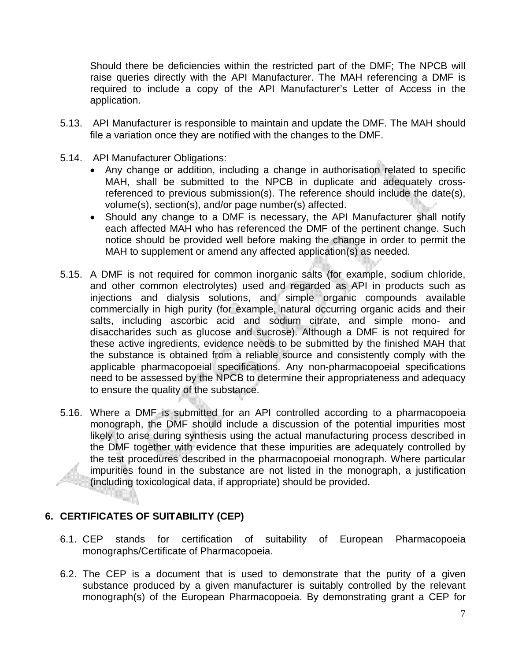Should there be deficiencies within the restricted part of the DMF; The NPCB will raise queries directly with the API Manufacturer. The MAH referencing a DMF is required to include a copy of the API Manufacturer's Letter of Access in the application.

- 5.13. API Manufacturer is responsible to maintain and update the DMF. The MAH should file a variation once they are notified with the changes to the DMF.
- 5.14. API Manufacturer Obligations:
	- Any change or addition, including a change in authorisation related to specific MAH, shall be submitted to the NPCB in duplicate and adequately crossreferenced to previous submission(s). The reference should include the date(s), volume(s), section(s), and/or page number(s) affected.
	- Should any change to a DMF is necessary, the API Manufacturer shall notify each affected MAH who has referenced the DMF of the pertinent change. Such notice should be provided well before making the change in order to permit the MAH to supplement or amend any affected application(s) as needed.
- 5.15. A DMF is not required for common inorganic salts (for example, sodium chloride, and other common electrolytes) used and regarded as API in products such as injections and dialysis solutions, and simple organic compounds available commercially in high purity (for example, natural occurring organic acids and their salts, including ascorbic acid and sodium citrate, and simple mono- and disaccharides such as glucose and sucrose). Although a DMF is not required for these active ingredients, evidence needs to be submitted by the finished MAH that the substance is obtained from a reliable source and consistently comply with the applicable pharmacopoeial specifications. Any non-pharmacopoeial specifications need to be assessed by the NPCB to determine their appropriateness and adequacy to ensure the quality of the substance.
- 5.16. Where a DMF is submitted for an API controlled according to a pharmacopoeia monograph, the DMF should include a discussion of the potential impurities most likely to arise during synthesis using the actual manufacturing process described in the DMF together with evidence that these impurities are adequately controlled by the test procedures described in the pharmacopoeial monograph. Where particular impurities found in the substance are not listed in the monograph, a justification (including toxicological data, if appropriate) should be provided.

## **6. CERTIFICATES OF SUITABILITY (CEP)**

- 6.1. CEP stands for certification of suitability of European Pharmacopoeia monographs/Certificate of Pharmacopoeia.
- 6.2. The CEP is a document that is used to demonstrate that the purity of a given substance produced by a given manufacturer is suitably controlled by the relevant monograph(s) of the European Pharmacopoeia. By demonstrating grant a CEP for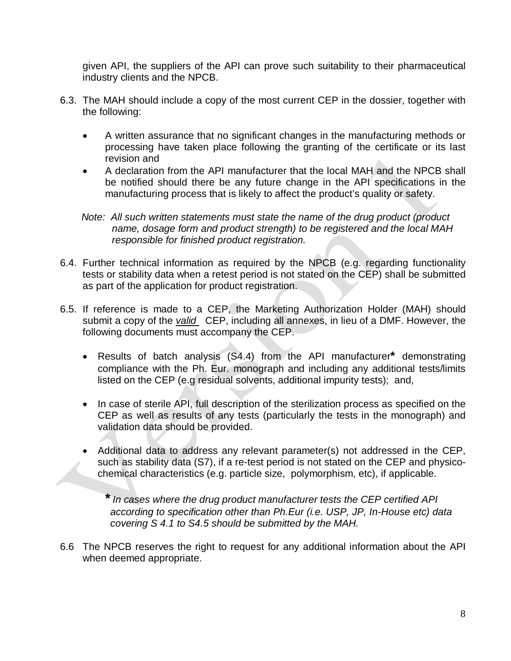given API, the suppliers of the API can prove such suitability to their pharmaceutical industry clients and the NPCB.

- 6.3. The MAH should include a copy of the most current CEP in the dossier, together with the following:
	- A written assurance that no significant changes in the manufacturing methods or processing have taken place following the granting of the certificate or its last revision and
	- A declaration from the API manufacturer that the local MAH and the NPCB shall be notified should there be any future change in the API specifications in the manufacturing process that is likely to affect the product's quality or safety.

 *Note: All such written statements must state the name of the drug product (product name, dosage form and product strength) to be registered and the local MAH responsible for finished product registration.*

- 6.4. Further technical information as required by the NPCB (e.g. regarding functionality tests or stability data when a retest period is not stated on the CEP) shall be submitted as part of the application for product registration.
- 6.5. If reference is made to a CEP, the Marketing Authorization Holder (MAH) should submit a copy of the *valid* CEP, including all annexes, in lieu of a DMF. However, the following documents must accompany the CEP.
	- Results of batch analysis (S4.4) from the API manufacturer**\*** demonstrating compliance with the Ph. Eur. monograph and including any additional tests/limits listed on the CEP (e.g residual solvents, additional impurity tests); and,
	- In case of sterile API, full description of the sterilization process as specified on the CEP as well as results of any tests (particularly the tests in the monograph) and validation data should be provided.
	- Additional data to address any relevant parameter(s) not addressed in the CEP, such as stability data (S7), if a re-test period is not stated on the CEP and physicochemical characteristics (e.g. particle size, polymorphism, etc), if applicable.

 *\* In cases where the drug product manufacturer tests the CEP certified API according to specification other than Ph.Eur (i.e. USP, JP, In-House etc) data covering S 4.1 to S4.5 should be submitted by the MAH.*

6.6 The NPCB reserves the right to request for any additional information about the API when deemed appropriate.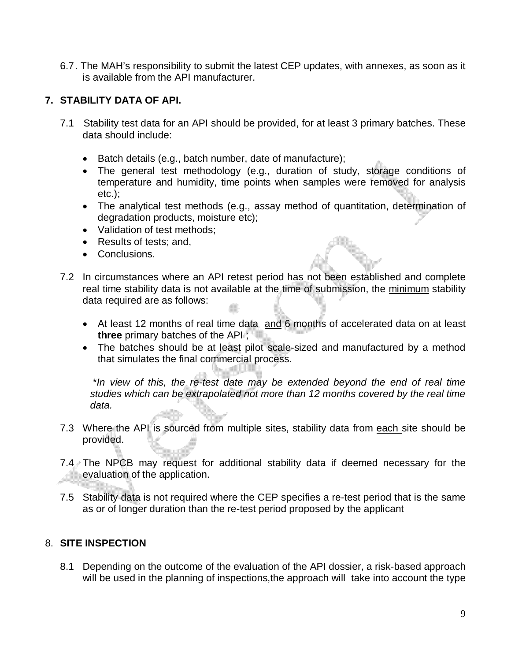6.7. The MAH's responsibility to submit the latest CEP updates, with annexes, as soon as it is available from the API manufacturer.

## **7. STABILITY DATA OF API.**

- 7.1 Stability test data for an API should be provided, for at least 3 primary batches. These data should include:
	- Batch details (e.g., batch number, date of manufacture);
	- The general test methodology (e.g., duration of study, storage conditions of temperature and humidity, time points when samples were removed for analysis etc.);
	- The analytical test methods (e.g., assay method of quantitation, determination of degradation products, moisture etc);
	- Validation of test methods;
	- Results of tests; and,
	- Conclusions.
- 7.2 In circumstances where an API retest period has not been established and complete real time stability data is not available at the time of submission, the minimum stability data required are as follows:
	- At least 12 months of real time data and 6 months of accelerated data on at least **three** primary batches of the API
	- The batches should be at least pilot scale-sized and manufactured by a method that simulates the final commercial process.

\**In view of this, the re-test date may be extended beyond the end of real time studies which can be extrapolated not more than 12 months covered by the real time data.* 

- 7.3 Where the API is sourced from multiple sites, stability data from each site should be provided.
- 7.4 The NPCB may request for additional stability data if deemed necessary for the evaluation of the application.
- 7.5 Stability data is not required where the CEP specifies a re-test period that is the same as or of longer duration than the re-test period proposed by the applicant

## 8. **SITE INSPECTION**

8.1 Depending on the outcome of the evaluation of the API dossier, a risk-based approach will be used in the planning of inspections, the approach will take into account the type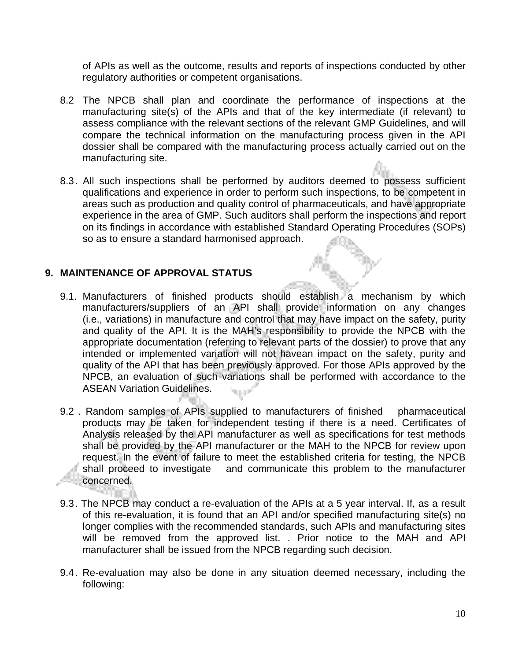of APIs as well as the outcome, results and reports of inspections conducted by other regulatory authorities or competent organisations.

- 8.2 The NPCB shall plan and coordinate the performance of inspections at the manufacturing site(s) of the APIs and that of the key intermediate (if relevant) to assess compliance with the relevant sections of the relevant GMP Guidelines, and will compare the technical information on the manufacturing process given in the API dossier shall be compared with the manufacturing process actually carried out on the manufacturing site.
- 8.3. All such inspections shall be performed by auditors deemed to possess sufficient qualifications and experience in order to perform such inspections, to be competent in areas such as production and quality control of pharmaceuticals, and have appropriate experience in the area of GMP. Such auditors shall perform the inspections and report on its findings in accordance with established Standard Operating Procedures (SOPs) so as to ensure a standard harmonised approach.

#### **9. MAINTENANCE OF APPROVAL STATUS**

- 9.1. Manufacturers of finished products should establish a mechanism by which manufacturers/suppliers of an API shall provide information on any changes (i.e., variations) in manufacture and control that may have impact on the safety, purity and quality of the API. It is the MAH's responsibility to provide the NPCB with the appropriate documentation (referring to relevant parts of the dossier) to prove that any intended or implemented variation will not havean impact on the safety, purity and quality of the API that has been previously approved. For those APIs approved by the NPCB, an evaluation of such variations shall be performed with accordance to the ASEAN Variation Guidelines.
- 9.2 . Random samples of APIs supplied to manufacturers of finished pharmaceutical products may be taken for independent testing if there is a need. Certificates of Analysis released by the API manufacturer as well as specifications for test methods shall be provided by the API manufacturer or the MAH to the NPCB for review upon request. In the event of failure to meet the established criteria for testing, the NPCB shall proceed to investigate and communicate this problem to the manufacturer concerned.
- 9.3. The NPCB may conduct a re-evaluation of the APIs at a 5 year interval. If, as a result of this re-evaluation, it is found that an API and/or specified manufacturing site(s) no longer complies with the recommended standards, such APIs and manufacturing sites will be removed from the approved list. . Prior notice to the MAH and API manufacturer shall be issued from the NPCB regarding such decision.
- 9.4. Re-evaluation may also be done in any situation deemed necessary, including the following: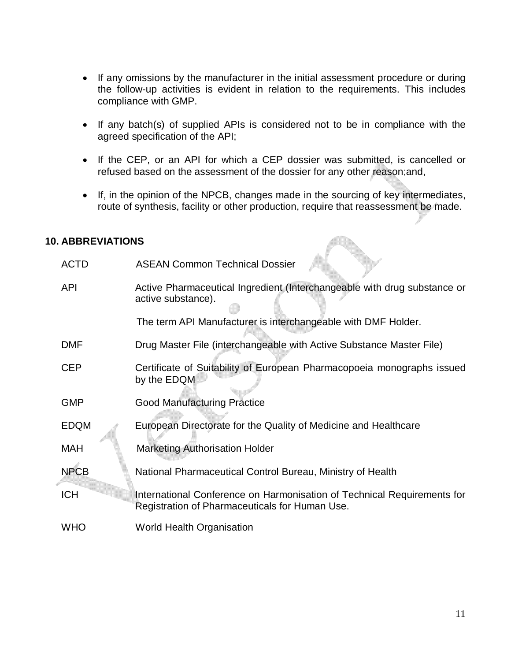- If any omissions by the manufacturer in the initial assessment procedure or during the follow-up activities is evident in relation to the requirements. This includes compliance with GMP.
- If any batch(s) of supplied APIs is considered not to be in compliance with the agreed specification of the API;
- If the CEP, or an API for which a CEP dossier was submitted, is cancelled or refused based on the assessment of the dossier for any other reason;and,
- If, in the opinion of the NPCB, changes made in the sourcing of key intermediates, route of synthesis, facility or other production, require that reassessment be made.

#### **10. ABBREVIATIONS**

| <b>ACTD</b> | <b>ASEAN Common Technical Dossier</b>                                                                                     |
|-------------|---------------------------------------------------------------------------------------------------------------------------|
| <b>API</b>  | Active Pharmaceutical Ingredient (Interchangeable with drug substance or<br>active substance).                            |
|             | The term API Manufacturer is interchangeable with DMF Holder.                                                             |
| <b>DMF</b>  | Drug Master File (interchangeable with Active Substance Master File)                                                      |
| <b>CEP</b>  | Certificate of Suitability of European Pharmacopoeia monographs issued<br>by the EDQM                                     |
| <b>GMP</b>  | <b>Good Manufacturing Practice</b>                                                                                        |
| <b>EDQM</b> | European Directorate for the Quality of Medicine and Healthcare                                                           |
| <b>MAH</b>  | <b>Marketing Authorisation Holder</b>                                                                                     |
| <b>NPCB</b> | National Pharmaceutical Control Bureau, Ministry of Health                                                                |
| <b>ICH</b>  | International Conference on Harmonisation of Technical Requirements for<br>Registration of Pharmaceuticals for Human Use. |
| <b>WHO</b>  | <b>World Health Organisation</b>                                                                                          |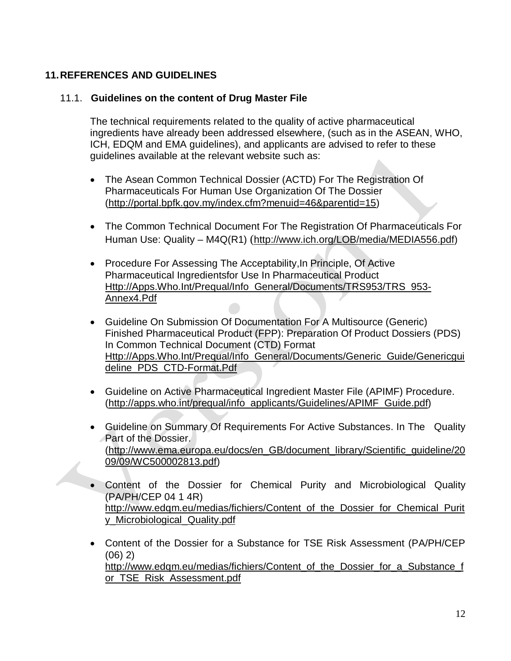## **11.REFERENCES AND GUIDELINES**

## 11.1. **Guidelines on the content of Drug Master File**

The technical requirements related to the quality of active pharmaceutical ingredients have already been addressed elsewhere, (such as in the ASEAN, WHO, ICH, EDQM and EMA guidelines), and applicants are advised to refer to these guidelines available at the relevant website such as:

- The Asean Common Technical Dossier (ACTD) For The Registration Of Pharmaceuticals For Human Use Organization Of The Dossier (http://portal.bpfk.gov.my/index.cfm?menuid=46&parentid=15)
- The Common Technical Document For The Registration Of Pharmaceuticals For Human Use: Quality – M4Q(R1) (http://www.ich.org/LOB/media/MEDIA556.pdf)
- Procedure For Assessing The Acceptability, In Principle, Of Active Pharmaceutical Ingredientsfor Use In Pharmaceutical Product Http://Apps.Who.Int/Prequal/Info\_General/Documents/TRS953/TRS\_953- Annex4.Pdf
- Guideline On Submission Of Documentation For A Multisource (Generic) Finished Pharmaceutical Product (FPP): Preparation Of Product Dossiers (PDS) In Common Technical Document (CTD) Format Http://Apps.Who.Int/Prequal/Info\_General/Documents/Generic\_Guide/Genericgui deline\_PDS\_CTD-Format.Pdf
- Guideline on Active Pharmaceutical Ingredient Master File (APIMF) Procedure. (http://apps.who.int/prequal/info\_applicants/Guidelines/APIMF\_Guide.pdf)
- Guideline on Summary Of Requirements For Active Substances. In The Quality Part of the Dossier. (http://www.ema.europa.eu/docs/en\_GB/document\_library/Scientific\_guideline/20 09/09/WC500002813.pdf)
- Content of the Dossier for Chemical Purity and Microbiological Quality (PA/PH/CEP 04 1 4R) http://www.edqm.eu/medias/fichiers/Content\_of\_the\_Dossier\_for\_Chemical\_Purit y\_Microbiological\_Quality.pdf
- Content of the Dossier for a Substance for TSE Risk Assessment (PA/PH/CEP (06) 2) http://www.edgm.eu/medias/fichiers/Content\_of\_the\_Dossier\_for\_a\_Substance\_f or TSE Risk Assessment.pdf